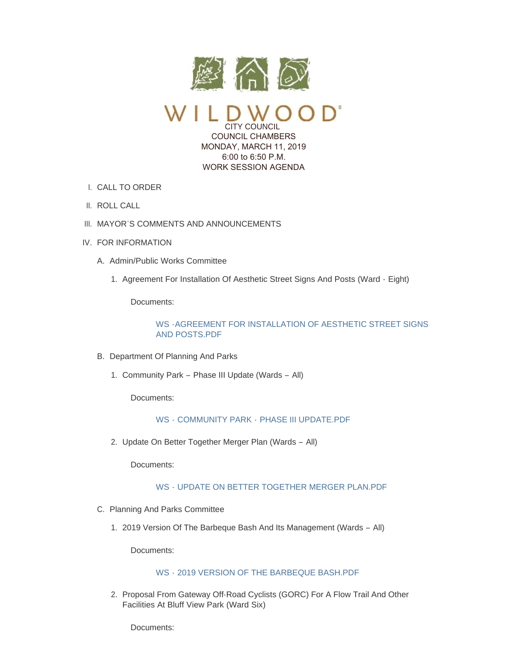

CITY COUNCIL COUNCIL CHAMBERS MONDAY, MARCH 11, 2019 6:00 to 6:50 P.M. WORK SESSION AGENDA

- CALL TO ORDER I.
- II. ROLL CALL
- III. MAYOR'S COMMENTS AND ANNOUNCEMENTS
- IV. FOR INFORMATION
	- A. Admin/Public Works Committee
		- 1. Agreement For Installation Of Aesthetic Street Signs And Posts (Ward Eight)

Documents:

[WS -AGREEMENT FOR INSTALLATION OF AESTHETIC STREET SIGNS](https://www.cityofwildwood.com/AgendaCenter/ViewFile/Item/19316?fileID=25654)  AND POSTS.PDF

- B. Department Of Planning And Parks
	- 1. Community Park Phase III Update (Wards All)

Documents:

WS - COMMUNITY PARK - [PHASE III UPDATE.PDF](https://www.cityofwildwood.com/AgendaCenter/ViewFile/Item/19318?fileID=25634)

2. Update On Better Together Merger Plan (Wards - All)

Documents:

# WS - [UPDATE ON BETTER TOGETHER MERGER PLAN.PDF](https://www.cityofwildwood.com/AgendaCenter/ViewFile/Item/19319?fileID=25635)

- C. Planning And Parks Committee
	- 2019 Version Of The Barbeque Bash And Its Management (Wards All) 1.

Documents:

### WS - [2019 VERSION OF THE BARBEQUE BASH.PDF](https://www.cityofwildwood.com/AgendaCenter/ViewFile/Item/19321?fileID=25652)

2. Proposal From Gateway Off-Road Cyclists (GORC) For A Flow Trail And Other Facilities At Bluff View Park (Ward Six)

Documents: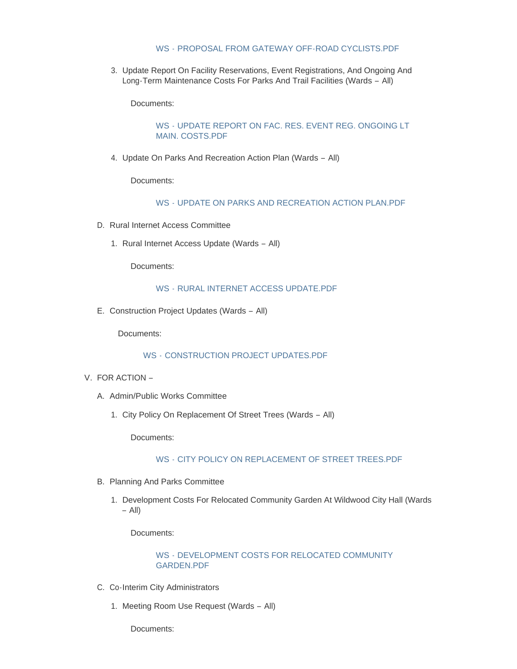## WS - [PROPOSAL FROM GATEWAY OFF-ROAD CYCLISTS.PDF](https://www.cityofwildwood.com/AgendaCenter/ViewFile/Item/19322?fileID=25636)

3. Update Report On Facility Reservations, Event Registrations, And Ongoing And Long-Term Maintenance Costs For Parks And Trail Facilities (Wards – All)

Documents:

WS - [UPDATE REPORT ON FAC. RES. EVENT REG. ONGOING LT](https://www.cityofwildwood.com/AgendaCenter/ViewFile/Item/19323?fileID=25637)  MAIN. COSTS.PDF

4. Update On Parks And Recreation Action Plan (Wards - All)

Documents:

WS - [UPDATE ON PARKS AND RECREATION ACTION PLAN.PDF](https://www.cityofwildwood.com/AgendaCenter/ViewFile/Item/19324?fileID=25638)

- D. Rural Internet Access Committee
	- 1. Rural Internet Access Update (Wards All)

Documents:

#### WS - [RURAL INTERNET ACCESS UPDATE.PDF](https://www.cityofwildwood.com/AgendaCenter/ViewFile/Item/19326?fileID=25639)

E. Construction Project Updates (Wards - All)

Documents:

#### WS - [CONSTRUCTION PROJECT UPDATES.PDF](https://www.cityofwildwood.com/AgendaCenter/ViewFile/Item/19327?fileID=25640)

- V. FOR ACTION
	- A. Admin/Public Works Committee
		- 1. City Policy On Replacement Of Street Trees (Wards All)

Documents:

### WS - [CITY POLICY ON REPLACEMENT OF STREET TREES.PDF](https://www.cityofwildwood.com/AgendaCenter/ViewFile/Item/19330?fileID=25641)

- B. Planning And Parks Committee
	- 1. Development Costs For Relocated Community Garden At Wildwood City Hall (Wards – All)

Documents:

WS - [DEVELOPMENT COSTS FOR RELOCATED COMMUNITY](https://www.cityofwildwood.com/AgendaCenter/ViewFile/Item/19373?fileID=25658)  GARDEN.PDF

- C. Co-Interim City Administrators
	- 1. Meeting Room Use Request (Wards All)

Documents: